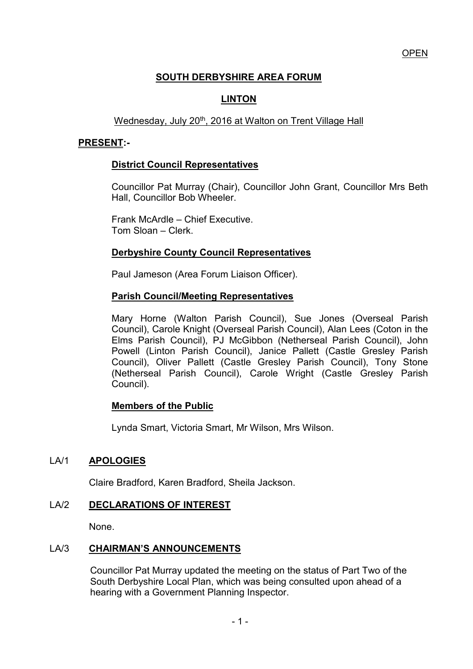# **SOUTH DERBYSHIRE AREA FORUM**

## **LINTON**

## Wednesday, July 20<sup>th</sup>, 2016 at Walton on Trent Village Hall

#### **PRESENT:-**

#### **District Council Representatives**

 Councillor Pat Murray (Chair), Councillor John Grant, Councillor Mrs Beth Hall, Councillor Bob Wheeler.

 Frank McArdle – Chief Executive. Tom Sloan – Clerk.

#### **Derbyshire County Council Representatives**

Paul Jameson (Area Forum Liaison Officer).

#### **Parish Council/Meeting Representatives**

 Mary Horne (Walton Parish Council), Sue Jones (Overseal Parish Council), Carole Knight (Overseal Parish Council), Alan Lees (Coton in the Elms Parish Council), PJ McGibbon (Netherseal Parish Council), John Powell (Linton Parish Council), Janice Pallett (Castle Gresley Parish Council), Oliver Pallett (Castle Gresley Parish Council), Tony Stone (Netherseal Parish Council), Carole Wright (Castle Gresley Parish Council).

## **Members of the Public**

Lynda Smart, Victoria Smart, Mr Wilson, Mrs Wilson.

## LA/1 **APOLOGIES**

Claire Bradford, Karen Bradford, Sheila Jackson.

## LA/2 **DECLARATIONS OF INTEREST**

None.

## LA/3 **CHAIRMAN'S ANNOUNCEMENTS**

 Councillor Pat Murray updated the meeting on the status of Part Two of the South Derbyshire Local Plan, which was being consulted upon ahead of a hearing with a Government Planning Inspector.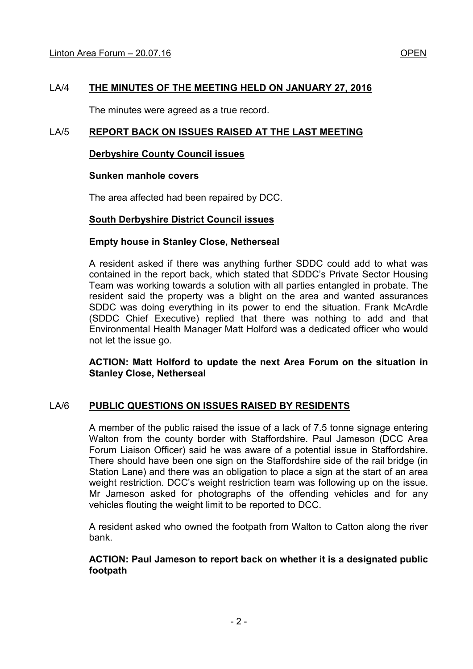The minutes were agreed as a true record.

## LA/5 **REPORT BACK ON ISSUES RAISED AT THE LAST MEETING**

#### **Derbyshire County Council issues**

#### **Sunken manhole covers**

The area affected had been repaired by DCC.

## **South Derbyshire District Council issues**

## **Empty house in Stanley Close, Netherseal**

A resident asked if there was anything further SDDC could add to what was contained in the report back, which stated that SDDC's Private Sector Housing Team was working towards a solution with all parties entangled in probate. The resident said the property was a blight on the area and wanted assurances SDDC was doing everything in its power to end the situation. Frank McArdle (SDDC Chief Executive) replied that there was nothing to add and that Environmental Health Manager Matt Holford was a dedicated officer who would not let the issue go.

**ACTION: Matt Holford to update the next Area Forum on the situation in Stanley Close, Netherseal** 

## LA/6 **PUBLIC QUESTIONS ON ISSUES RAISED BY RESIDENTS**

 A member of the public raised the issue of a lack of 7.5 tonne signage entering Walton from the county border with Staffordshire. Paul Jameson (DCC Area Forum Liaison Officer) said he was aware of a potential issue in Staffordshire. There should have been one sign on the Staffordshire side of the rail bridge (in Station Lane) and there was an obligation to place a sign at the start of an area weight restriction. DCC's weight restriction team was following up on the issue. Mr Jameson asked for photographs of the offending vehicles and for any vehicles flouting the weight limit to be reported to DCC.

 A resident asked who owned the footpath from Walton to Catton along the river bank.

## **ACTION: Paul Jameson to report back on whether it is a designated public footpath**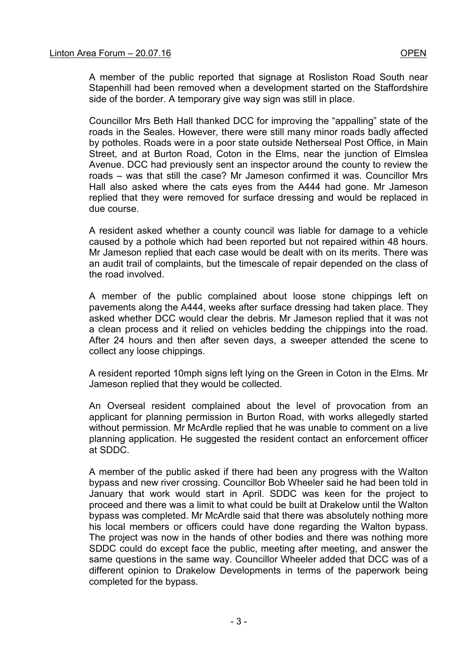A member of the public reported that signage at Rosliston Road South near Stapenhill had been removed when a development started on the Staffordshire side of the border. A temporary give way sign was still in place.

 Councillor Mrs Beth Hall thanked DCC for improving the "appalling" state of the roads in the Seales. However, there were still many minor roads badly affected by potholes. Roads were in a poor state outside Netherseal Post Office, in Main Street, and at Burton Road, Coton in the Elms, near the junction of Elmslea Avenue. DCC had previously sent an inspector around the county to review the roads – was that still the case? Mr Jameson confirmed it was. Councillor Mrs Hall also asked where the cats eyes from the A444 had gone. Mr Jameson replied that they were removed for surface dressing and would be replaced in due course.

 A resident asked whether a county council was liable for damage to a vehicle caused by a pothole which had been reported but not repaired within 48 hours. Mr Jameson replied that each case would be dealt with on its merits. There was an audit trail of complaints, but the timescale of repair depended on the class of the road involved.

 A member of the public complained about loose stone chippings left on pavements along the A444, weeks after surface dressing had taken place. They asked whether DCC would clear the debris. Mr Jameson replied that it was not a clean process and it relied on vehicles bedding the chippings into the road. After 24 hours and then after seven days, a sweeper attended the scene to collect any loose chippings.

 A resident reported 10mph signs left lying on the Green in Coton in the Elms. Mr Jameson replied that they would be collected.

 An Overseal resident complained about the level of provocation from an applicant for planning permission in Burton Road, with works allegedly started without permission. Mr McArdle replied that he was unable to comment on a live planning application. He suggested the resident contact an enforcement officer at SDDC.

 A member of the public asked if there had been any progress with the Walton bypass and new river crossing. Councillor Bob Wheeler said he had been told in January that work would start in April. SDDC was keen for the project to proceed and there was a limit to what could be built at Drakelow until the Walton bypass was completed. Mr McArdle said that there was absolutely nothing more his local members or officers could have done regarding the Walton bypass. The project was now in the hands of other bodies and there was nothing more SDDC could do except face the public, meeting after meeting, and answer the same questions in the same way. Councillor Wheeler added that DCC was of a different opinion to Drakelow Developments in terms of the paperwork being completed for the bypass.